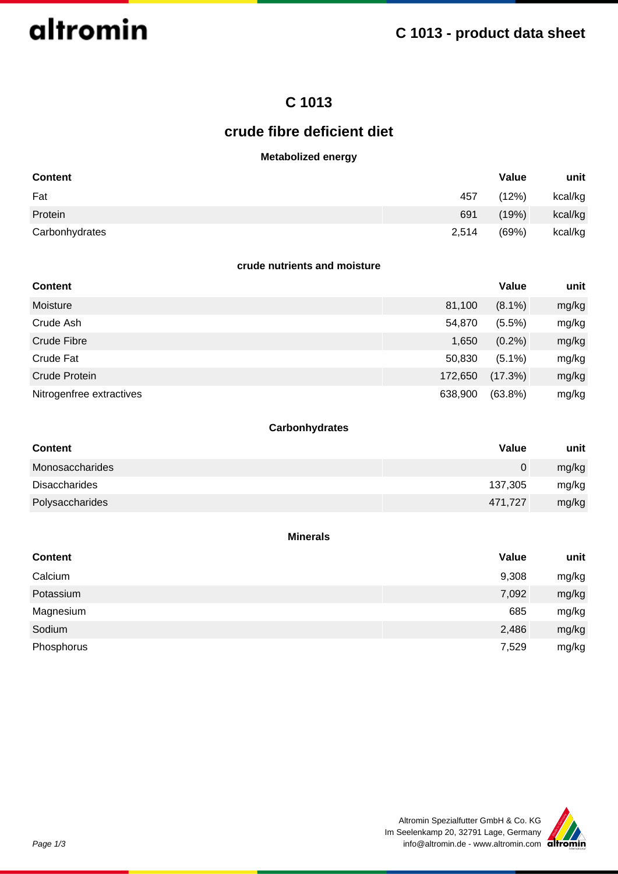

## **C 1013**

## **crude fibre deficient diet**

## **Metabolized energy**

| <b>Content</b> |       | Value | unit    |
|----------------|-------|-------|---------|
| Fat            | 457   | (12%) | kcal/kg |
| Protein        | 691   | (19%) | kcal/kg |
| Carbonhydrates | 2,514 | (69%) | kcal/kg |

#### **crude nutrients and moisture**

| <b>Content</b>           |         | Value      | unit  |
|--------------------------|---------|------------|-------|
| Moisture                 | 81,100  | $(8.1\%)$  | mg/kg |
| Crude Ash                | 54,870  | $(5.5\%)$  | mg/kg |
| Crude Fibre              | 1,650   | $(0.2\%)$  | mg/kg |
| Crude Fat                | 50,830  | $(5.1\%)$  | mg/kg |
| Crude Protein            | 172,650 | (17.3%)    | mg/kg |
| Nitrogenfree extractives | 638,900 | $(63.8\%)$ | mg/kg |

## **Carbonhydrates**

| <b>Content</b>       | Value   | unit  |
|----------------------|---------|-------|
| Monosaccharides      | 0       | mg/kg |
| <b>Disaccharides</b> | 137,305 | mg/kg |
| Polysaccharides      | 471,727 | mg/kg |

#### **Minerals**

| <b>Content</b> | Value | unit  |
|----------------|-------|-------|
| Calcium        | 9,308 | mg/kg |
| Potassium      | 7,092 | mg/kg |
| Magnesium      | 685   | mg/kg |
| Sodium         | 2,486 | mg/kg |
| Phosphorus     | 7,529 | mg/kg |

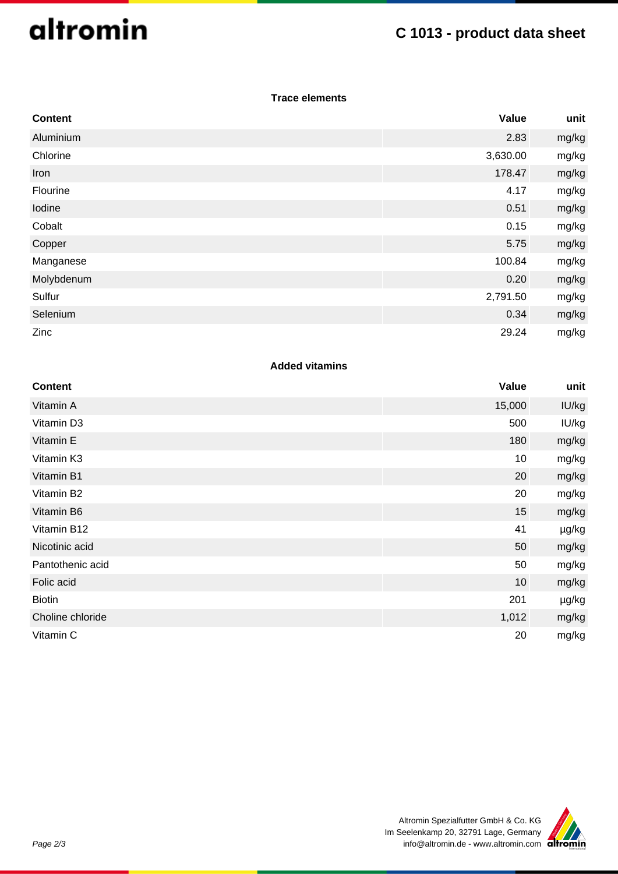# altromin

## **C 1013 - product data sheet**

## **Trace elements**

| <b>Content</b> | Value    | unit  |
|----------------|----------|-------|
| Aluminium      | 2.83     | mg/kg |
| Chlorine       | 3,630.00 | mg/kg |
| Iron           | 178.47   | mg/kg |
| Flourine       | 4.17     | mg/kg |
| Iodine         | 0.51     | mg/kg |
| Cobalt         | 0.15     | mg/kg |
| Copper         | 5.75     | mg/kg |
| Manganese      | 100.84   | mg/kg |
| Molybdenum     | 0.20     | mg/kg |
| Sulfur         | 2,791.50 | mg/kg |
| Selenium       | 0.34     | mg/kg |
| Zinc           | 29.24    | mg/kg |

## **Added vitamins**

| <b>Content</b>   | Value  | unit  |
|------------------|--------|-------|
| Vitamin A        | 15,000 | IU/kg |
| Vitamin D3       | 500    | IU/kg |
| Vitamin E        | 180    | mg/kg |
| Vitamin K3       | 10     | mg/kg |
| Vitamin B1       | 20     | mg/kg |
| Vitamin B2       | 20     | mg/kg |
| Vitamin B6       | 15     | mg/kg |
| Vitamin B12      | 41     | µg/kg |
| Nicotinic acid   | 50     | mg/kg |
| Pantothenic acid | 50     | mg/kg |
| Folic acid       | 10     | mg/kg |
| <b>Biotin</b>    | 201    | µg/kg |
| Choline chloride | 1,012  | mg/kg |
| Vitamin C        | 20     | mg/kg |